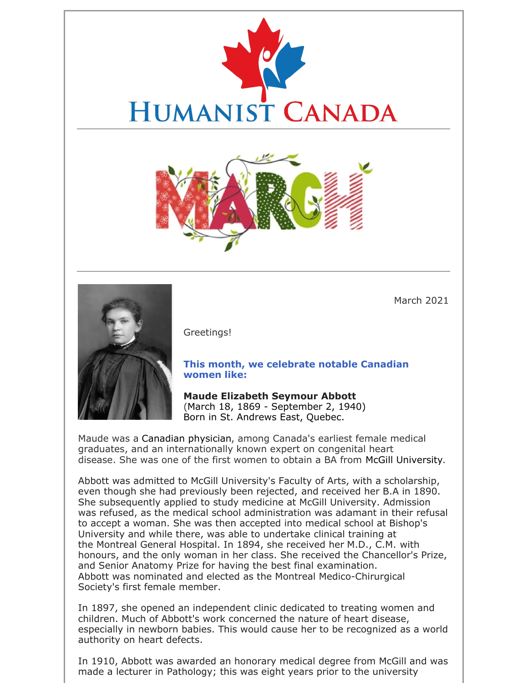



March 2021



Greetings!

#### **This month, we celebrate notable Canadian women like:**

**Maude Elizabeth Seymour Abbott** (March 18, 1869 - September 2, 1940) Born in St. Andrews East, Quebec.

Maude was a Canadian physician, among Canada's earliest female medical graduates, and an internationally known expert on congenital heart disease. She was one of the first women to obtain a BA from McGill University.

Abbott was admitted to McGill University's Faculty of Arts, with a scholarship, even though she had previously been rejected, and received her B.A in 1890. She subsequently applied to study medicine at McGill University. Admission was refused, as the medical school administration was adamant in their refusal to accept a woman. She was then accepted into medical school at Bishop's University and while there, was able to undertake clinical training at the Montreal General Hospital. In 1894, she received her M.D., C.M. with honours, and the only woman in her class. She received the Chancellor's Prize, and Senior Anatomy Prize for having the best final examination. Abbott was nominated and elected as the Montreal Medico-Chirurgical Society's first female member.

In 1897, she opened an independent clinic dedicated to treating women and children. Much of Abbott's work concerned the nature of heart disease, especially in newborn babies. This would cause her to be recognized as a world authority on heart defects.

In 1910, Abbott was awarded an honorary medical degree from McGill and was made a lecturer in Pathology; this was eight years prior to the university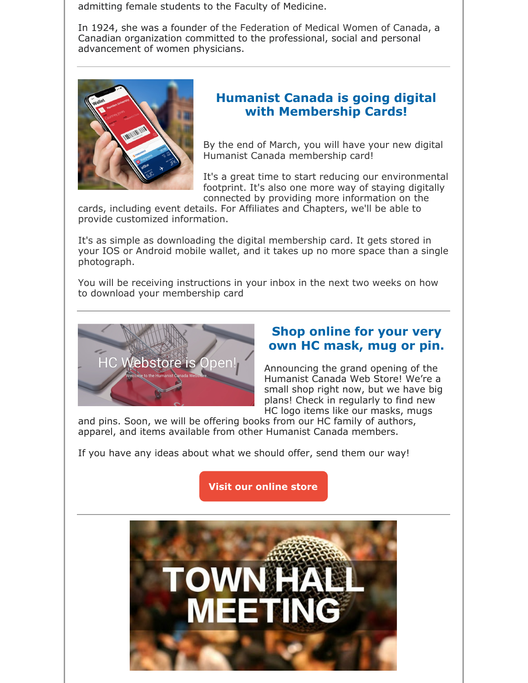admitting female students to the Faculty of Medicine.

In 1924, she was a founder of the Federation of Medical Women of Canada, a Canadian organization committed to the professional, social and personal advancement of women physicians.



### **Humanist Canada is going digital with Membership Cards!**

By the end of March, you will have your new digital Humanist Canada membership card!

It's a great time to start reducing our environmental footprint. It's also one more way of staying digitally connected by providing more information on the

cards, including event details. For Affiliates and Chapters, we'll be able to provide customized information.

It's as simple as downloading the digital membership card. It gets stored in your IOS or Android mobile wallet, and it takes up no more space than a single photograph.

You will be receiving instructions in your inbox in the next two weeks on how to download your membership card



### **Shop online for your very own HC mask, mug or pin.**

Announcing the grand opening of the Humanist Canada Web Store! We're a small shop right now, but we have big plans! Check in regularly to find new HC logo items like our masks, mugs

and pins. Soon, we will be offering books from our HC family of authors, apparel, and items available from other Humanist Canada members.

If you have any ideas about what we should offer, send them our way!

**Visit our online store**

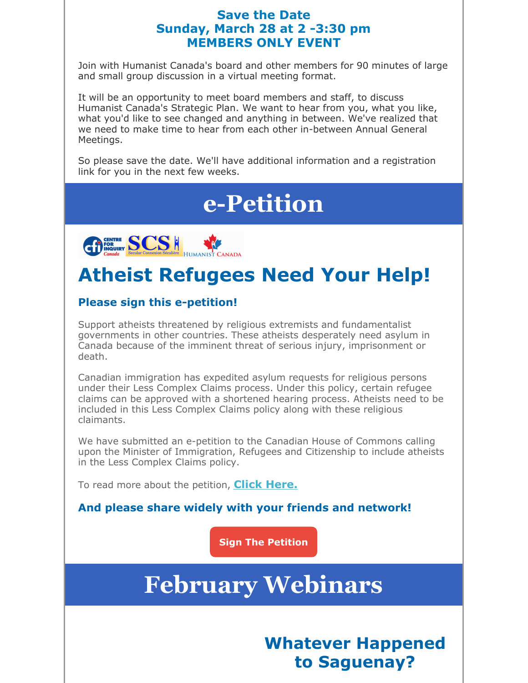### **Save the Date Sunday, March 28 at 2 -3:30 pm MEMBERS ONLY EVENT**

Join with Humanist Canada's board and other members for 90 minutes of large and small group discussion in a virtual meeting format.

It will be an opportunity to meet board members and staff, to discuss Humanist Canada's Strategic Plan. We want to hear from you, what you like, what you'd like to see changed and anything in between. We've realized that we need to make time to hear from each other in-between Annual General Meetings.

So please save the date. We'll have additional information and a registration link for you in the next few weeks.

# **e-Petition**



## **Atheist Refugees Need Your Help!**

### **Please sign this e-petition!**

Support atheists threatened by religious extremists and fundamentalist governments in other countries. These atheists desperately need asylum in Canada because of the imminent threat of serious injury, imprisonment or death.

Canadian immigration has expedited asylum requests for religious persons under their Less Complex Claims process. Under this policy, certain refugee claims can be approved with a shortened hearing process. Atheists need to be included in this Less Complex Claims policy along with these religious claimants.

We have submitted an e-petition to the Canadian House of Commons calling upon the Minister of Immigration, Refugees and Citizenship to include atheists in the Less Complex Claims policy.

To read more about the petition, **Click Here.**

**And please share widely with your friends and network!**

**Sign The Petition**

# **February Webinars**

**Whatever Happened to Saguenay?**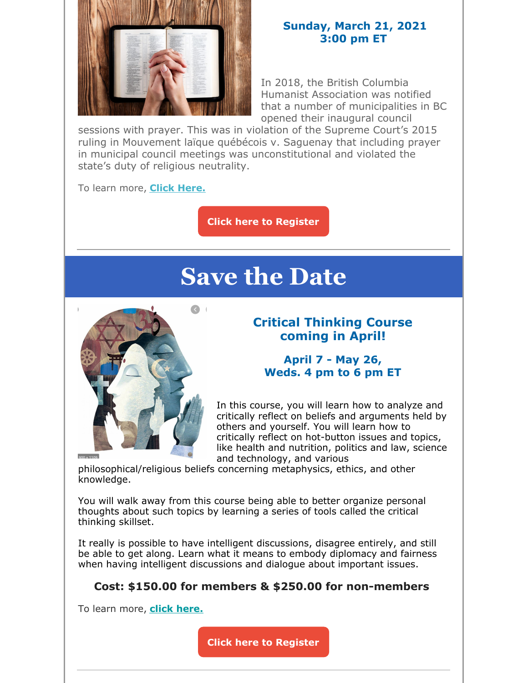

#### **Sunday, March 21, 2021 3:00 pm ET**

In 2018, the British Columbia Humanist Association was notified that a number of municipalities in BC opened their inaugural council

sessions with prayer. This was in violation of the Supreme Court's 2015 ruling in Mouvement laïque québécois v. Saguenay that including prayer in municipal council meetings was unconstitutional and violated the state's duty of religious neutrality.

To learn more, **Click Here.**

**Click here to Register**

# **Save the Date**



### **Critical Thinking Course coming in April!**

### **April 7 - May 26, Weds. 4 pm to 6 pm ET**

In this course, you will learn how to analyze and critically reflect on beliefs and arguments held by others and yourself. You will learn how to critically reflect on hot-button issues and topics, like health and nutrition, politics and law, science and technology, and various

philosophical/religious beliefs concerning metaphysics, ethics, and other knowledge.

You will walk away from this course being able to better organize personal thoughts about such topics by learning a series of tools called the critical thinking skillset.

It really is possible to have intelligent discussions, disagree entirely, and still be able to get along. Learn what it means to embody diplomacy and fairness when having intelligent discussions and dialogue about important issues.

### **Cost: \$150.00 for members & \$250.00 for non-members**

To learn more, **click here.**

**Click here to Register**